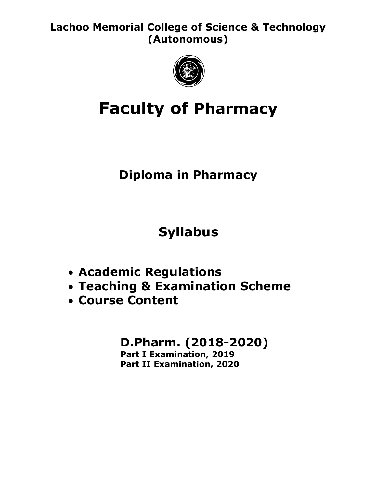Lachoo Memorial College of Science & Technology (Autonomous)



# Faculty of Pharmacy

## Diploma in Pharmacy

# Syllabus

- Academic Regulations
- Teaching & Examination Scheme
- Course Content

## D.Pharm. (2018-2020)

Part I Examination, 2019 Part II Examination, 2020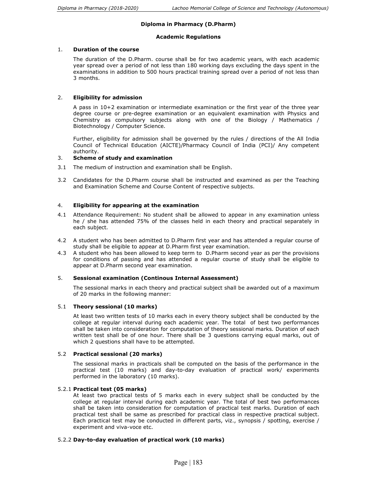#### Diploma in Pharmacy (D.Pharm)

#### Academic Regulations

#### 1. Duration of the course

The duration of the D.Pharm. course shall be for two academic years, with each academic year spread over a period of not less than 180 working days excluding the days spent in the examinations in addition to 500 hours practical training spread over a period of not less than 3 months.

#### 2. Eligibility for admission

A pass in 10+2 examination or intermediate examination or the first year of the three year degree course or pre-degree examination or an equivalent examination with Physics and Chemistry as compulsory subjects along with one of the Biology / Mathematics / Biotechnology / Computer Science.

Further, eligibility for admission shall be governed by the rules / directions of the All India Council of Technical Education (AICTE)/Pharmacy Council of India (PCI)/ Any competent authority.

#### 3. Scheme of study and examination

- 3.1 The medium of instruction and examination shall be English.
- 3.2 Candidates for the D.Pharm course shall be instructed and examined as per the Teaching and Examination Scheme and Course Content of respective subjects.

#### 4. Eligibility for appearing at the examination

- 4.1 Attendance Requirement: No student shall be allowed to appear in any examination unless he / she has attended 75% of the classes held in each theory and practical separately in each subject.
- 4.2 A student who has been admitted to D.Pharm first year and has attended a regular course of study shall be eligible to appear at D.Pharm first year examination.
- 4.3 A student who has been allowed to keep term to D.Pharm second year as per the provisions for conditions of passing and has attended a regular course of study shall be eligible to appear at D.Pharm second year examination.

#### 5. Sessional examination (Continous Internal Assessment)

 The sessional marks in each theory and practical subject shall be awarded out of a maximum of 20 marks in the following manner:

#### 5.1 Theory sessional (10 marks)

 At least two written tests of 10 marks each in every theory subject shall be conducted by the college at regular interval during each academic year. The total of best two performances shall be taken into consideration for computation of theory sessional marks. Duration of each written test shall be of one hour. There shall be 3 questions carrying equal marks, out of which 2 questions shall have to be attempted.

#### 5.2 Practical sessional (20 marks)

 The sessional marks in practicals shall be computed on the basis of the performance in the practical test (10 marks) and day-to-day evaluation of practical work/ experiments performed in the laboratory (10 marks).

#### 5.2.1 Practical test (05 marks)

At least two practical tests of 5 marks each in every subject shall be conducted by the college at regular interval during each academic year. The total of best two performances shall be taken into consideration for computation of practical test marks. Duration of each practical test shall be same as prescribed for practical class in respective practical subject. Each practical test may be conducted in different parts, viz., synopsis / spotting, exercise / experiment and viva-voce etc.

#### 5.2.2 Day-to-day evaluation of practical work (10 marks)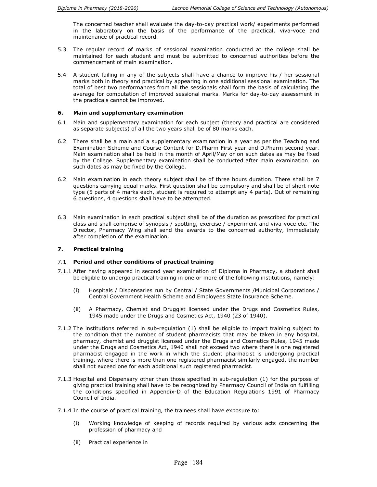The concerned teacher shall evaluate the day-to-day practical work/ experiments performed in the laboratory on the basis of the performance of the practical, viva-voce and maintenance of practical record.

- 5.3 The regular record of marks of sessional examination conducted at the college shall be maintained for each student and must be submitted to concerned authorities before the commencement of main examination.
- 5.4 A student failing in any of the subjects shall have a chance to improve his / her sessional marks both in theory and practical by appearing in one additional sessional examination. The total of best two performances from all the sessionals shall form the basis of calculating the average for computation of improved sessional marks. Marks for day-to-day assessment in the practicals cannot be improved.

#### 6. Main and supplementary examination

- 6.1 Main and supplementary examination for each subject (theory and practical are considered as separate subjects) of all the two years shall be of 80 marks each.
- 6.2 There shall be a main and a supplementary examination in a year as per the Teaching and Examination Scheme and Course Content for D.Pharm First year and D.Pharm second year. Main examination shall be held in the month of April/May or on such dates as may be fixed by the College. Supplementary examination shall be conducted after main examination on such dates as may be fixed by the College.
- 6.2 Main examination in each theory subject shall be of three hours duration. There shall be 7 questions carrying equal marks. First question shall be compulsory and shall be of short note type (5 parts of 4 marks each, student is required to attempt any 4 parts). Out of remaining 6 questions, 4 questions shall have to be attempted.
- 6.3 Main examination in each practical subject shall be of the duration as prescribed for practical class and shall comprise of synopsis / spotting, exercise / experiment and viva-voce etc. The Director, Pharmacy Wing shall send the awards to the concerned authority, immediately after completion of the examination.

#### 7. Practical training

#### 7.1 Period and other conditions of practical training

- 7.1.1 After having appeared in second year examination of Diploma in Pharmacy, a student shall be eligible to undergo practical training in one or more of the following institutions, namely:
	- (i) Hospitals / Dispensaries run by Central / State Governments /Municipal Corporations / Central Government Health Scheme and Employees State Insurance Scheme.
	- (ii) A Pharmacy, Chemist and Druggist licensed under the Drugs and Cosmetics Rules, 1945 made under the Drugs and Cosmetics Act, 1940 (23 of 1940).
- 7.1.2 The institutions referred in sub-regulation (1) shall be eligible to impart training subject to the condition that the number of student pharmacists that may be taken in any hospital, pharmacy, chemist and druggist licensed under the Drugs and Cosmetics Rules, 1945 made under the Drugs and Cosmetics Act, 1940 shall not exceed two where there is one registered pharmacist engaged in the work in which the student pharmacist is undergoing practical training, where there is more than one registered pharmacist similarly engaged, the number shall not exceed one for each additional such registered pharmacist.
- 7.1.3 Hospital and Dispensary other than those specified in sub-regulation (1) for the purpose of giving practical training shall have to be recognized by Pharmacy Council of India on fulfilling the conditions specified in Appendix-D of the Education Regulations 1991 of Pharmacy Council of India.
- 7.1.4 In the course of practical training, the trainees shall have exposure to:
	- (i) Working knowledge of keeping of records required by various acts concerning the profession of pharmacy and
	- (ii) Practical experience in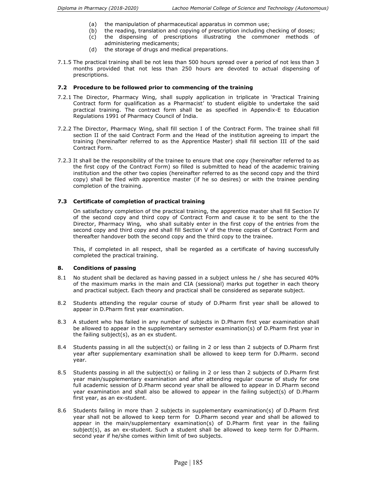- (a) the manipulation of pharmaceutical apparatus in common use;
- (b) the reading, translation and copying of prescription including checking of doses; (c) the dispensing of prescriptions illustrating the commoner methods of
- administering medicaments; (d) the storage of drugs and medical preparations.
- 7.1.5 The practical training shall be not less than 500 hours spread over a period of not less than 3 months provided that not less than 250 hours are devoted to actual dispensing of prescriptions.

#### 7.2 Procedure to be followed prior to commencing of the training

- 7.2.1 The Director, Pharmacy Wing, shall supply application in triplicate in 'Practical Training Contract form for qualification as a Pharmacist' to student eligible to undertake the said practical training. The contract form shall be as specified in Appendix-E to Education Regulations 1991 of Pharmacy Council of India.
- 7.2.2 The Director, Pharmacy Wing, shall fill section I of the Contract Form. The trainee shall fill section II of the said Contract Form and the Head of the institution agreeing to impart the training (hereinafter referred to as the Apprentice Master) shall fill section III of the said Contract Form.
- 7.2.3 It shall be the responsibility of the trainee to ensure that one copy (hereinafter referred to as the first copy of the Contract Form) so filled is submitted to head of the academic training institution and the other two copies (hereinafter referred to as the second copy and the third copy) shall be filed with apprentice master (if he so desires) or with the trainee pending completion of the training.

#### 7.3 Certificate of completion of practical training

 On satisfactory completion of the practical training, the apprentice master shall fill Section IV of the second copy and third copy of Contract Form and cause it to be sent to the the Director, Pharmacy Wing, who shall suitably enter in the first copy of the entries from the second copy and third copy and shall fill Section V of the three copies of Contract Form and thereafter handover both the second copy and the third copy to the trainee.

 This, if completed in all respect, shall be regarded as a certificate of having successfully completed the practical training.

#### 8. Conditions of passing

- 8.1 No student shall be declared as having passed in a subject unless he / she has secured 40% of the maximum marks in the main and CIA (sessional) marks put together in each theory and practical subject. Each theory and practical shall be considered as separate subject.
- 8.2 Students attending the regular course of study of D.Pharm first year shall be allowed to appear in D.Pharm first year examination.
- 8.3 A student who has failed in any number of subjects in D.Pharm first year examination shall be allowed to appear in the supplementary semester examination(s) of D.Pharm first year in the failing subject(s), as an ex student.
- 8.4 Students passing in all the subject(s) or failing in 2 or less than 2 subjects of D.Pharm first year after supplementary examination shall be allowed to keep term for D.Pharm. second year.
- 8.5 Students passing in all the subject(s) or failing in 2 or less than 2 subjects of D.Pharm first year main/supplementary examination and after attending regular course of study for one full academic session of D.Pharm second year shall be allowed to appear in D.Pharm second year examination and shall also be allowed to appear in the failing subject(s) of D.Pharm first year, as an ex-student.
- 8.6 Students failing in more than 2 subjects in supplementary examination(s) of D.Pharm first year shall not be allowed to keep term for D.Pharm second year and shall be allowed to appear in the main/supplementary examination(s) of D.Pharm first year in the failing subject(s), as an ex-student. Such a student shall be allowed to keep term for D.Pharm. second year if he/she comes within limit of two subjects.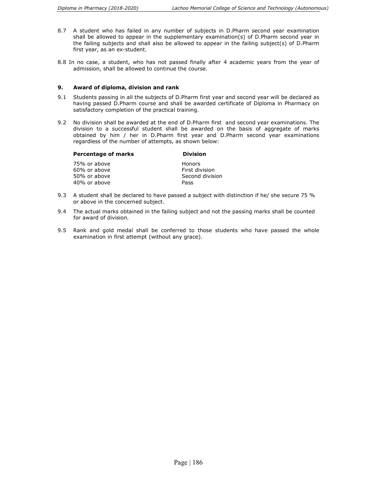- 8.7 A student who has failed in any number of subjects in D.Pharm second year examination shall be allowed to appear in the supplementary examination(s) of D.Pharm second year in the failing subjects and shall also be allowed to appear in the failing subject(s) of D.Pharm first year, as an ex-student.
- 8.8 In no case, a student, who has not passed finally after 4 academic years from the year of admission, shall be allowed to continue the course.

#### 9. Award of diploma, division and rank

- 9.1 Students passing in all the subjects of D.Pharm first year and second year will be declared as having passed D.Pharm course and shall be awarded certificate of Diploma in Pharmacy on satisfactory completion of the practical training.
- 9.2 No division shall be awarded at the end of D.Pharm first and second year examinations. The division to a successful student shall be awarded on the basis of aggregate of marks obtained by him / her in D.Pharm first year and D.Pharm second year examinations regardless of the number of attempts, as shown below:

|              | <b>Percentage of marks</b> | <b>Division</b> |
|--------------|----------------------------|-----------------|
| 75% or above |                            | <b>Honors</b>   |
| 60% or above |                            | First division  |
| 50% or above |                            | Second division |

40% or above Pass

- 9.3 A student shall be declared to have passed a subject with distinction if he/ she secure 75 % or above in the concerned subject.
- 9.4 The actual marks obtained in the failing subject and not the passing marks shall be counted for award of division.
- 9.5 Rank and gold medal shall be conferred to those students who have passed the whole examination in first attempt (without any grace).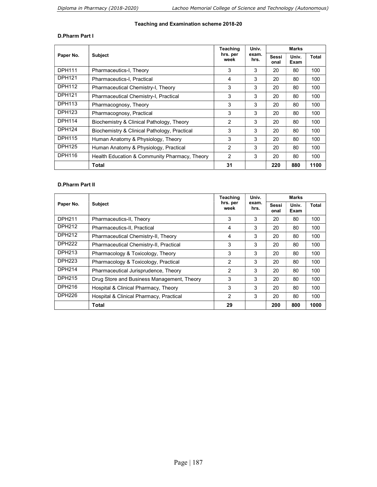#### Teaching and Examination scheme 2018-20

#### D.Pharm Part I

|               | <b>Subject</b>                                | Teaching<br>hrs. per<br>week | Univ.<br>exam.<br>hrs. | <b>Marks</b>  |               |       |
|---------------|-----------------------------------------------|------------------------------|------------------------|---------------|---------------|-------|
| Paper No.     |                                               |                              |                        | Sessi<br>onal | Univ.<br>Exam | Total |
| <b>DPH111</b> | Pharmaceutics-I, Theory                       | 3                            | 3                      | 20            | 80            | 100   |
| <b>DPH121</b> | Pharmaceutics-I, Practical                    | 4                            | 3                      | 20            | 80            | 100   |
| <b>DPH112</b> | Pharmaceutical Chemistry-I, Theory            | 3                            | 3                      | 20            | 80            | 100   |
| <b>DPH121</b> | Pharmaceutical Chemistry-I, Practical         | 3                            | 3                      | 20            | 80            | 100   |
| <b>DPH113</b> | Pharmacognosy, Theory                         | 3                            | 3                      | 20            | 80            | 100   |
| <b>DPH123</b> | Pharmacognosy, Practical                      | 3                            | 3                      | 20            | 80            | 100   |
| <b>DPH114</b> | Biochemistry & Clinical Pathology, Theory     | 2                            | 3                      | 20            | 80            | 100   |
| <b>DPH124</b> | Biochemistry & Clinical Pathology, Practical  | 3                            | 3                      | 20            | 80            | 100   |
| <b>DPH115</b> | Human Anatomy & Physiology, Theory            | 3                            | 3                      | 20            | 80            | 100   |
| <b>DPH125</b> | Human Anatomy & Physiology, Practical         | 2                            | 3                      | 20            | 80            | 100   |
| <b>DPH116</b> | Health Education & Community Pharmacy, Theory | 2                            | 3                      | 20            | 80            | 100   |
|               | Total                                         | 31                           |                        | 220           | 880           | 1100  |

#### D.Pharm Part II

| Paper No.          | <b>Subject</b>                             | Teaching<br>hrs. per<br>week | Univ.<br>exam.<br>hrs. | Marks         |               |       |
|--------------------|--------------------------------------------|------------------------------|------------------------|---------------|---------------|-------|
|                    |                                            |                              |                        | Sessi<br>onal | Univ.<br>Exam | Total |
| DPH211             | Pharmaceutics-II, Theory                   | 3                            | 3                      | 20            | 80            | 100   |
| <b>DPH212</b>      | Pharmaceutics-II, Practical                | 4                            | 3                      | 20            | 80            | 100   |
| <b>DPH212</b>      | Pharmaceutical Chemistry-II, Theory        | 4                            | 3                      | 20            | 80            | 100   |
| <b>DPH222</b>      | Pharmaceutical Chemistry-II, Practical     | 3                            | 3                      | 20            | 80            | 100   |
| <b>DPH213</b>      | Pharmacology & Toxicology, Theory          | 3                            | 3                      | 20            | 80            | 100   |
| DPH <sub>223</sub> | Pharmacology & Toxicology, Practical       | $\mathcal{P}$                | 3                      | 20            | 80            | 100   |
| <b>DPH214</b>      | Pharmaceutical Jurisprudence, Theory       | 2                            | 3                      | 20            | 80            | 100   |
| <b>DPH215</b>      | Drug Store and Business Management, Theory | 3                            | 3                      | 20            | 80            | 100   |
| DPH216             | Hospital & Clinical Pharmacy, Theory       | 3                            | 3                      | 20            | 80            | 100   |
| DPH <sub>226</sub> | Hospital & Clinical Pharmacy, Practical    | 2                            | 3                      | 20            | 80            | 100   |
|                    | Total                                      | 29                           |                        | 200           | 800           | 1000  |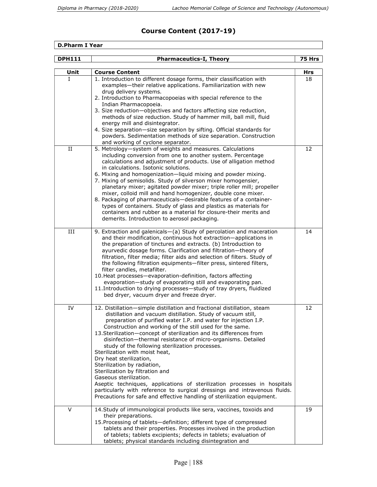## Course Content (2017-19)

#### D.Pharm I Year

| <b>DPH111</b> | <b>Pharmaceutics-I, Theory</b>                                                                                                                                                                                                                                                                                                                                                                                                                                                                                                                                                                                                                                                                                                                                                                                                                                | 75 Hrs |
|---------------|---------------------------------------------------------------------------------------------------------------------------------------------------------------------------------------------------------------------------------------------------------------------------------------------------------------------------------------------------------------------------------------------------------------------------------------------------------------------------------------------------------------------------------------------------------------------------------------------------------------------------------------------------------------------------------------------------------------------------------------------------------------------------------------------------------------------------------------------------------------|--------|
| Unit          | <b>Course Content</b>                                                                                                                                                                                                                                                                                                                                                                                                                                                                                                                                                                                                                                                                                                                                                                                                                                         | Hrs    |
| L             | 1. Introduction to different dosage forms, their classification with<br>examples-their relative applications. Familiarization with new<br>drug delivery systems.<br>2. Introduction to Pharmacopoeias with special reference to the<br>Indian Pharmacopoeia.<br>3. Size reduction-objectives and factors affecting size reduction,<br>methods of size reduction. Study of hammer mill, ball mill, fluid<br>energy mill and disintegrator.<br>4. Size separation-size separation by sifting. Official standards for<br>powders. Sedimentation methods of size separation. Construction<br>and working of cyclone separator.                                                                                                                                                                                                                                    | 18     |
| II            | 5. Metrology-system of weights and measures. Calculations<br>including conversion from one to another system. Percentage<br>calculations and adjustment of products. Use of alligation method<br>in calculations. Isotonic solutions.<br>6. Mixing and homogenization-liquid mixing and powder mixing.<br>7. Mixing of semisolids. Study of silverson mixer homogensier,<br>planetary mixer; agitated powder mixer; triple roller mill; propeller<br>mixer, colloid mill and hand homogenizer, double cone mixer.<br>8. Packaging of pharmaceuticals-desirable features of a container-<br>types of containers. Study of glass and plastics as materials for<br>containers and rubber as a material for closure-their merits and<br>demerits. Introduction to aerosol packaging.                                                                              | 12     |
| III           | 9. Extraction and galenicals-(a) Study of percolation and maceration<br>and their modification, continuous hot extraction-applications in<br>the preparation of tinctures and extracts. (b) Introduction to<br>ayurvedic dosage forms. Clarification and filtration-theory of<br>filtration, filter media; filter aids and selection of filters. Study of<br>the following filtration equipments-filter press, sintered filters,<br>filter candles, metafilter.<br>10. Heat processes-evaporation-definition, factors affecting<br>evaporation-study of evaporating still and evaporating pan.<br>11. Introduction to drying processes-study of tray dryers, fluidized<br>bed dryer, vacuum dryer and freeze dryer.                                                                                                                                           | 14     |
| IV            | 12. Distillation-simple distillation and fractional distillation, steam<br>distillation and vacuum distillation. Study of vacuum still,<br>preparation of purified water I.P. and water for injection I.P.<br>Construction and working of the still used for the same.<br>13. Sterilization-concept of sterilization and its differences from<br>disinfection-thermal resistance of micro-organisms. Detailed<br>study of the following sterilization processes.<br>Sterilization with moist heat,<br>Dry heat sterilization,<br>Sterilization by radiation,<br>Sterilization by filtration and<br>Gaseous sterilization.<br>Aseptic techniques, applications of sterilization processes in hospitals<br>particularly with reference to surgical dressings and intravenous fluids.<br>Precautions for safe and effective handling of sterilization equipment. | 12     |
| $\vee$        | 14. Study of immunological products like sera, vaccines, toxoids and<br>their preparations.<br>15. Processing of tablets-definition; different type of compressed<br>tablets and their properties. Processes involved in the production<br>of tablets; tablets excipients; defects in tablets; evaluation of<br>tablets; physical standards including disintegration and                                                                                                                                                                                                                                                                                                                                                                                                                                                                                      | 19     |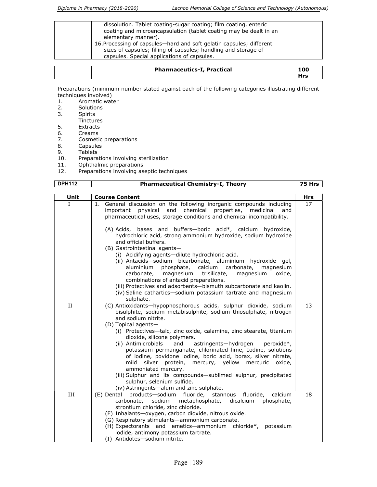| dissolution. Tablet coating-sugar coating; film coating, enteric<br>coating and microencapsulation (tablet coating may be dealt in an<br>elementary manner).<br>16. Processing of capsules—hard and soft gelatin capsules; different<br>sizes of capsules; filling of capsules; handling and storage of<br>capsules. Special applications of capsules. |  |
|--------------------------------------------------------------------------------------------------------------------------------------------------------------------------------------------------------------------------------------------------------------------------------------------------------------------------------------------------------|--|
|--------------------------------------------------------------------------------------------------------------------------------------------------------------------------------------------------------------------------------------------------------------------------------------------------------------------------------------------------------|--|

| <b>Pharmaceutics-I, Practical</b> | 100<br><b>Hrs</b> |
|-----------------------------------|-------------------|
|-----------------------------------|-------------------|

Preparations (minimum number stated against each of the following categories illustrating different techniques involved)<br>1. Aromatic wate

- 1. Aromatic water<br>2. Solutions
- Solutions
- 3. Spirits
- Tinctures<br>5. Extracts
- 5. Extracts<br>6. Creams
- 6. Creams
- 7. Cosmetic preparations<br>8. Capsules
- 8. Capsules<br>9. Tablets
- 9. Tablets<br>10. Prepara
- Preparations involving sterilization
- 11. Ophthalmic preparations<br>12. Preparations involving as
- Preparations involving aseptic techniques

| <b>DPH112</b> | <b>Pharmaceutical Chemistry-I, Theory</b>                                                                                                                                                                                                                                                                                                                                                                                                                                                                                                                                                                                                                                                                                                                                                                                                                 | 75 Hrs     |
|---------------|-----------------------------------------------------------------------------------------------------------------------------------------------------------------------------------------------------------------------------------------------------------------------------------------------------------------------------------------------------------------------------------------------------------------------------------------------------------------------------------------------------------------------------------------------------------------------------------------------------------------------------------------------------------------------------------------------------------------------------------------------------------------------------------------------------------------------------------------------------------|------------|
|               |                                                                                                                                                                                                                                                                                                                                                                                                                                                                                                                                                                                                                                                                                                                                                                                                                                                           |            |
| Unit          | <b>Course Content</b>                                                                                                                                                                                                                                                                                                                                                                                                                                                                                                                                                                                                                                                                                                                                                                                                                                     | <b>Hrs</b> |
| L             | 1. General discussion on the following inorganic compounds including<br>chemical properties, medicinal<br>physical and<br>important<br>and<br>pharmaceutical uses, storage conditions and chemical incompatibility.<br>(A) Acids, bases and buffers-boric acid*, calcium hydroxide,<br>hydrochloric acid, strong ammonium hydroxide, sodium hydroxide<br>and official buffers.<br>(B) Gastrointestinal agents-<br>(i) Acidifying agents-dilute hydrochloric acid.<br>(ii) Antacids-sodium bicarbonate, aluminium hydroxide gel,<br>aluminium<br>phosphate,<br>calcium carbonate,<br>magnesium<br>trisilicate,<br>carbonate, magnesium<br>magnesium<br>oxide,<br>combinations of antacid preparations.<br>(iii) Protectives and adsorbents-bismuth subcarbonate and kaolin.<br>(iv) Saline cathartics-sodium potassium tartrate and magnesium<br>sulphate. | 17         |
| II            | (C) Antioxidants-hypophosphorous acids, sulphur dioxide, sodium<br>bisulphite, sodium metabisulphite, sodium thiosulphate, nitrogen<br>and sodium nitrite.<br>(D) Topical agents-<br>(i) Protectives-talc, zinc oxide, calamine, zinc stearate, titanium<br>dioxide, silicone polymers.<br>(ii) Antimicrobials<br>astringents-hydrogen<br>and<br>peroxide*,<br>potassium permanganate, chlorinated lime, Iodine, solutions<br>of iodine, povidone iodine, boric acid, borax, silver nitrate,<br>protein, mercury, yellow mercuric<br>mild<br>silver<br>oxide,<br>ammoniated mercury.<br>(iii) Sulphur and its compounds-sublimed sulphur, precipitated<br>sulphur, selenium sulfide.<br>(iv) Astringents-alum and zinc sulphate.                                                                                                                          | 13         |
| III           | (E) Dental products-sodium fluoride,<br>stannous fluoride,<br>calcium<br>carbonate, sodium metaphosphate, dicalcium<br>phosphate,<br>strontium chloride, zinc chloride.<br>(F) Inhalants-oxygen, carbon dioxide, nitrous oxide.<br>(G) Respiratory stimulants-ammonium carbonate.<br>(H) Expectorants and emetics-ammonium chloride*, potassium<br>iodide, antimony potassium tartrate.<br>(I) Antidotes-sodium nitrite.                                                                                                                                                                                                                                                                                                                                                                                                                                  | 18         |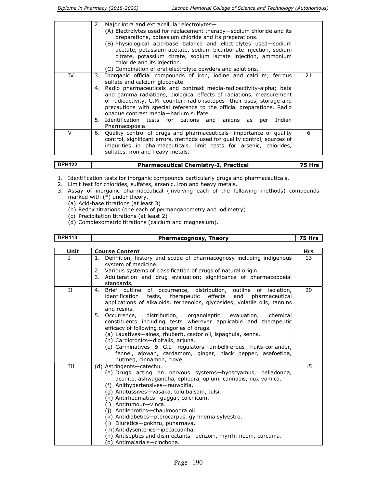|    | 2.       | Major intra and extracellular electrolytes-<br>(A) Electrolytes used for replacement therapy-sodium chloride and its<br>preparations, potassium chloride and its preparations.<br>(B) Physiological acid-base balance and electrolytes used-sodium<br>acetate, potassium acetate, sodium bicarbonate injection, sodium<br>citrate, potassium citrate, sodium lactate injection, ammonium                                                                                                                         |    |
|----|----------|------------------------------------------------------------------------------------------------------------------------------------------------------------------------------------------------------------------------------------------------------------------------------------------------------------------------------------------------------------------------------------------------------------------------------------------------------------------------------------------------------------------|----|
|    |          | chloride and its injection.<br>(C) Combination of oral electrolyte powders and solutions.                                                                                                                                                                                                                                                                                                                                                                                                                        |    |
| IV | 3.<br>4. | Inorganic official compounds of iron, iodine and calcium; ferrous<br>sulfate and calcium gluconate.<br>Radio pharmaceuticals and contrast media-radioactivity-alpha; beta<br>and gamma radiations, biological effects of radiations, measurement<br>of radioactivity, G.M. counter; radio isotopes-their uses, storage and<br>precautions with special reference to the official preparations. Radio<br>opaque contrast media-barium sulfate.<br>5. Identification tests for cations and anions as per<br>Indian | 21 |
|    |          | Pharmacopoeia.                                                                                                                                                                                                                                                                                                                                                                                                                                                                                                   |    |
| v  | 6.       | Quality control of drugs and pharmaceuticals—importance of quality<br>control, significant errors, methods used for quality control, sources of<br>impurities in pharmaceuticals, limit tests for arsenic, chlorides,<br>sulfates, iron and heavy metals.                                                                                                                                                                                                                                                        | 6  |

| <b>DPH122</b> | <b>Pharmaceutical Chemistry-I, Practical</b> |  |
|---------------|----------------------------------------------|--|
|               |                                              |  |

- 1. Identification tests for inorganic compounds particularly drugs and pharmaceuticals.
- 2. Limit test for chlorides, sulfates, arsenic, iron and heavy metals.
- 3. Assay of inorganic pharmaceutical (involving each of the following methods) compounds marked with (\*) under theory.
- (a) Acid-base titrations (at least 3)
	- (b) Redox titrations (one each of permanganometry and iodimetry)
	- (c) Precipitation titrations (at least 2)
	- (d) Complexometric titrations (calcium and magnesium).

#### **DPH113** Pharmacognosy, Theory 75 Hrs

| Unit        | <b>Course Content</b>                                                                                                                                                                                                                                                                                                                                                                                                                                                                                                                                                                                                                                                                            | Hrs |
|-------------|--------------------------------------------------------------------------------------------------------------------------------------------------------------------------------------------------------------------------------------------------------------------------------------------------------------------------------------------------------------------------------------------------------------------------------------------------------------------------------------------------------------------------------------------------------------------------------------------------------------------------------------------------------------------------------------------------|-----|
| $\mathbf I$ | Definition, history and scope of pharmacognosy including indigenous<br>1.<br>system of medicine.<br>2. Various systems of classification of drugs of natural origin.<br>3. Adulteration and drug evaluation; significance of pharmacopoeial<br>standards.                                                                                                                                                                                                                                                                                                                                                                                                                                        | 13  |
| $_{\rm II}$ | Brief outline of occurrence, distribution, outline of isolation,<br>4.<br>identification tests, therapeutic effects and pharmaceutical<br>applications of alkaloids, terpenoids, glycosides, volatile oils, tannins<br>and resins.<br>5. Occurrence, distribution, organoleptic evaluation,<br>chemical<br>constituents including tests wherever applicable and therapeutic<br>efficacy of following categories of drugs.<br>(a) Laxatives-aloes, rhubarb, castor oil, ispaghula, senna.<br>(b) Cardiotonics-digitalis, arjuna.<br>(c) Carminatives & G.I. regulators-umbelliferous fruits-coriander,<br>fennel, ajowan, cardamom, ginger, black pepper, asafoetida,<br>nutmeg, cinnamon, clove. | 20  |
| III         | (d) Astringents-catechu.<br>(e) Drugs acting on nervous systems—hyoscyamus, belladonna,<br>aconite, ashwagandha, ephedra, opium, cannabis, nux vomica.<br>(f) Anithypertensives-rauwolfia.<br>(g) Antitussives-vasaka, tolu balsam, tulsi.<br>(h) Antirheumatics—quggal, colchicum.<br>(i) Antitumour-vinca.<br>(j) Antileprotics-chaulmoogra oil.<br>(k) Antidiabetics-pterocarpus, gymnema sylvestro.<br>(I) Diuretics-gokhru, punarnava.<br>(m) Antidysenterics-ipecacuanha.<br>(n) Antiseptics and disinfectants-benzoin, myrrh, neem, curcuma.<br>(o) Antimalarials-cinchona.                                                                                                               | 15  |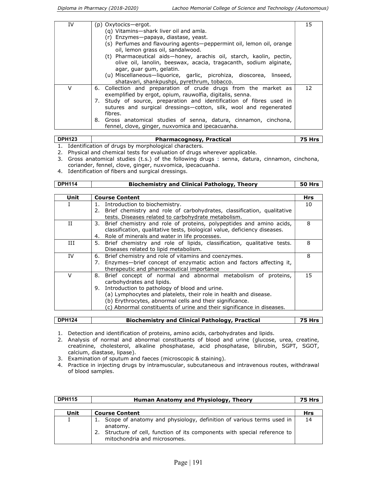| IV | (p) Oxytocics-ergot.<br>(g) Vitamins-shark liver oil and amla.<br>(r) Enzymes-papaya, diastase, yeast.<br>(s) Perfumes and flavouring agents-peppermint oil, lemon oil, orange<br>oil, lemon grass oil, sandalwood.<br>(t) Pharmaceutical aids-honey, arachis oil, starch, kaolin, pectin, | 15 |
|----|--------------------------------------------------------------------------------------------------------------------------------------------------------------------------------------------------------------------------------------------------------------------------------------------|----|
|    | olive oil, lanolin, beeswax, acacia, tragacanth, sodium alginate,<br>agar, guar gum, gelatin.<br>(u) Miscellaneous-liquorice, garlic, picrohiza, dioscorea, linseed,<br>shatavari, shankpushpi, pyrethrum, tobacco.                                                                        |    |
| v  | 6. Collection and preparation of crude drugs from the market as<br>exemplified by ergot, opium, rauwolfia, digitalis, senna.<br>Study of source, preparation and identification of fibres used in<br>7.<br>sutures and surgical dressings—cotton, silk, wool and regenerated<br>fibres.    | 12 |
|    | 8. Gross anatomical studies of senna, datura, cinnamon, cinchona,<br>fennel, clove, ginger, nuxvomica and ipecacuanha.                                                                                                                                                                     |    |

## DPH123 **Pharmacognosy, Practical** 75 Hrs

1. Identification of drugs by morphological characters.

2. Physical and chemical tests for evaluation of drugs wherever applicable.

- 3. Gross anatomical studies (t.s.) of the following drugs : senna, datura, cinnamon, cinchona, coriander, fennel, clove, ginger, nuxvomica, ipecacuanha.
- 4. Identification of fibers and surgical dressings.

| <b>DPH114</b> | <b>Biochemistry and Clinical Pathology, Theory</b>                        |            |
|---------------|---------------------------------------------------------------------------|------------|
|               |                                                                           |            |
| Unit          | <b>Course Content</b>                                                     | <b>Hrs</b> |
| I             | Introduction to biochemistry.<br>1.                                       | 10         |
|               | 2. Brief chemistry and role of carbohydrates, classification, qualitative |            |
|               | tests. Diseases related to carbohydrate metabolism.                       |            |
| и             | 3. Brief chemistry and role of proteins, polypeptides and amino acids,    | 8          |
|               | classification, qualitative tests, biological value, deficiency diseases. |            |
|               | Role of minerals and water in life processes.<br>4.                       |            |
| Ш             | 5. Brief chemistry and role of lipids, classification, qualitative tests. | 8          |
|               | Diseases related to lipid metabolism.                                     |            |
| IV            | 6. Brief chemistry and role of vitamins and coenzymes.                    | 8          |
|               | 7. Enzymes—brief concept of enzymatic action and factors affecting it,    |            |
|               | therapeutic and pharmaceutical importance                                 |            |
| $\vee$        | Brief concept of normal and abnormal metabolism of proteins,<br>8.        | 15         |
|               | carbohydrates and lipids.                                                 |            |
|               | Introduction to pathology of blood and urine.<br>9.                       |            |
|               | (a) Lymphocytes and platelets, their role in health and disease.          |            |
|               | (b) Erythrocytes, abnormal cells and their significance.                  |            |
|               | (c) Abnormal constituents of urine and their significance in diseases.    |            |
|               |                                                                           |            |

| DPH124 | <b>Biochemistry and Clinical Pathology, Practical</b> | <b>75 Hrs</b> |
|--------|-------------------------------------------------------|---------------|

- 1. Detection and identification of proteins, amino acids, carbohydrates and lipids.
- 2. Analysis of normal and abnormal constituents of blood and urine (glucose, urea, creatine, creatinine, cholesterol, alkaline phosphatase, acid phosphatase, bilirubin, SGPT, SGOT, calcium, diastase, lipase).
- 3. Examination of sputum and faeces (microscopic & staining).
- 4. Practice in injecting drugs by intramuscular, subcutaneous and intravenous routes, withdrawal of blood samples.

| <b>DPH115</b> | <b>Human Anatomy and Physiology, Theory</b>                                                                                                                                                    | 75 Hrs     |
|---------------|------------------------------------------------------------------------------------------------------------------------------------------------------------------------------------------------|------------|
|               |                                                                                                                                                                                                |            |
| Unit          | <b>Course Content</b>                                                                                                                                                                          | <b>Hrs</b> |
| I             | Scope of anatomy and physiology, definition of various terms used in<br>anatomy.<br>2. Structure of cell, function of its components with special reference to<br>mitochondria and microsomes. | 14         |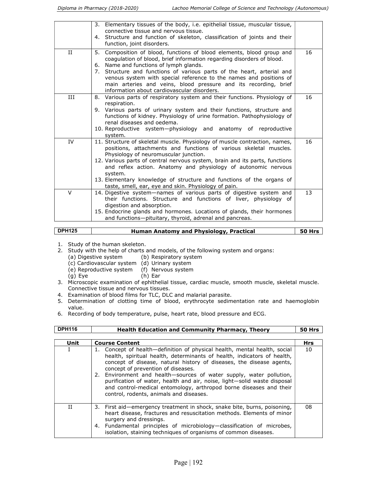|        | 3. Elementary tissues of the body, i.e. epithelial tissue, muscular tissue,<br>connective tissue and nervous tissue.                                                                                                                                                                                         |    |
|--------|--------------------------------------------------------------------------------------------------------------------------------------------------------------------------------------------------------------------------------------------------------------------------------------------------------------|----|
|        | 4. Structure and function of skeleton, classification of joints and their<br>function, joint disorders.                                                                                                                                                                                                      |    |
| H      | 5. Composition of blood, functions of blood elements, blood group and<br>coagulation of blood, brief information regarding disorders of blood.                                                                                                                                                               | 16 |
|        | Name and functions of lymph glands.<br>6.<br>7. Structure and functions of various parts of the heart, arterial and<br>venous system with special reference to the names and positions of<br>main arteries and veins, blood pressure and its recording, brief<br>information about cardiovascular disorders. |    |
| Ш      | 8. Various parts of respiratory system and their functions. Physiology of<br>respiration.                                                                                                                                                                                                                    | 16 |
|        | 9. Various parts of urinary system and their functions, structure and<br>functions of kidney. Physiology of urine formation. Pathophysiology of<br>renal diseases and oedema.                                                                                                                                |    |
|        | 10. Reproductive system-physiology and anatomy of reproductive<br>system.                                                                                                                                                                                                                                    |    |
| IV     | 11. Structure of skeletal muscle. Physiology of muscle contraction, names,<br>positions, attachments and functions of various skeletal muscles.<br>Physiology of neuromuscular junction.                                                                                                                     | 16 |
|        | 12. Various parts of central nervous system, brain and its parts, functions<br>and reflex action. Anatomy and physiology of autonomic nervous<br>system.                                                                                                                                                     |    |
|        | 13. Elementary knowledge of structure and functions of the organs of<br>taste, smell, ear, eye and skin. Physiology of pain.                                                                                                                                                                                 |    |
| $\vee$ | 14. Digestive system—names of various parts of digestive system and<br>their functions. Structure and functions of liver, physiology of<br>digestion and absorption.                                                                                                                                         | 13 |
|        | 15. Endocrine glands and hormones. Locations of glands, their hormones<br>and functions-pituitary, thyroid, adrenal and pancreas.                                                                                                                                                                            |    |

| $\overline{ }$ DPH125 | <b>Human Anatomy and Physiology, Practical</b> | <b>50 Hrs</b> |
|-----------------------|------------------------------------------------|---------------|
|                       |                                                |               |

- 1. Study of the human skeleton.
- 2. Study with the help of charts and models, of the following system and organs:<br>(a) Digestive system (b) Respiratory system
	- (b) Respiratory system
	-
	- (c) Cardiovascular system (d) Urinary system<br>(e) Reproductive system (f) Nervous system (e) Reproductive system
	- (g) Eye (h) Ear
- 3. Microscopic examination of ephithelial tissue, cardiac muscle, smooth muscle, skeletal muscle. Connective tissue and nervous tissues.
- 4. Examination of blood films for TLC, DLC and malarial parasite.
- 5. Determination of clotting time of blood, erythrocyte sedimentation rate and haemoglobin value.
- 6. Recording of body temperature, pulse, heart rate, blood pressure and ECG.

| <b>DPH116</b> | <b>Health Education and Community Pharmacy, Theory</b>                                                                                                                                                                                                                                                                                                                                                                                                                                                                                 | <b>50 Hrs</b> |
|---------------|----------------------------------------------------------------------------------------------------------------------------------------------------------------------------------------------------------------------------------------------------------------------------------------------------------------------------------------------------------------------------------------------------------------------------------------------------------------------------------------------------------------------------------------|---------------|
| Unit          | <b>Course Content</b>                                                                                                                                                                                                                                                                                                                                                                                                                                                                                                                  | <b>Hrs</b>    |
|               | 1. Concept of health—definition of physical health, mental health, social<br>health, spiritual health, determinants of health, indicators of health,<br>concept of disease, natural history of diseases, the disease agents,<br>concept of prevention of diseases.<br>2. Environment and health-sources of water supply, water pollution,<br>purification of water, health and air, noise, light-solid waste disposal<br>and control-medical entomology, arthropod borne diseases and their<br>control, rodents, animals and diseases. | 10            |
| Π             | 3. First aid—emergency treatment in shock, snake bite, burns, poisoning,<br>heart disease, fractures and resuscitation methods. Elements of minor<br>surgery and dressings.<br>4. Fundamental principles of microbiology—classification of microbes,<br>isolation, staining techniques of organisms of common diseases.                                                                                                                                                                                                                | 08            |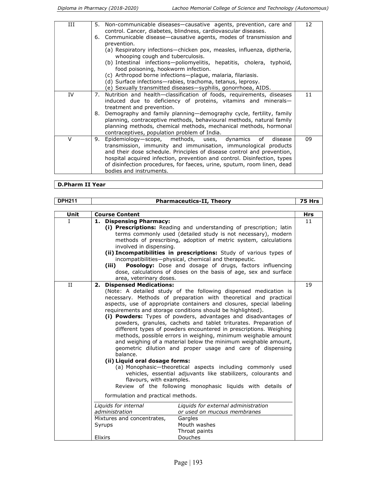| Ш  | 5. | Non-communicable diseases—causative agents, prevention, care and                                                                                                                                                                                                                                                                                                                               | 12 |
|----|----|------------------------------------------------------------------------------------------------------------------------------------------------------------------------------------------------------------------------------------------------------------------------------------------------------------------------------------------------------------------------------------------------|----|
|    |    | control. Cancer, diabetes, blindness, cardiovascular diseases.                                                                                                                                                                                                                                                                                                                                 |    |
|    | 6. | Communicable disease—causative agents, modes of transmission and<br>prevention.                                                                                                                                                                                                                                                                                                                |    |
|    |    | (a) Respiratory infections-chicken pox, measles, influenza, diptheria,<br>whooping cough and tuberculosis.                                                                                                                                                                                                                                                                                     |    |
|    |    | (b) Intestinal infections-poliomyelitis, hepatitis, cholera, typhoid,<br>food poisoning, hookworm infection.                                                                                                                                                                                                                                                                                   |    |
|    |    | (c) Arthropod borne infections-plague, malaria, filariasis.                                                                                                                                                                                                                                                                                                                                    |    |
|    |    | (d) Surface infections-rabies, trachoma, tetanus, leprosy.                                                                                                                                                                                                                                                                                                                                     |    |
|    |    | (e) Sexually transmitted diseases-syphilis, gonorrhoea, AIDS.                                                                                                                                                                                                                                                                                                                                  |    |
| IV | 7. | Nutrition and health—classification of foods, requirements, diseases<br>induced due to deficiency of proteins, vitamins and minerals-<br>treatment and prevention.                                                                                                                                                                                                                             | 11 |
|    | 8. | Demography and family planning—demography cycle, fertility, family<br>planning, contraceptive methods, behavioural methods, natural family<br>planning methods, chemical methods, mechanical methods, hormonal<br>contraceptives, population problem of India.                                                                                                                                 |    |
| V  | 9. | Epidemiology—scope, methods, uses,<br>of<br>dynamics<br>disease<br>transmission, immunity and immunisation, immunological products<br>and their dose schedule. Principles of disease control and prevention,<br>hospital acquired infection, prevention and control. Disinfection, types<br>of disinfection procedures, for faeces, urine, sputum, room linen, dead<br>bodies and instruments. | 09 |

### D.Pharm II Year

| <b>DPH211</b> | <b>Pharmaceutics-II, Theory</b>                                                                                                                                                                                                                                                                                                                                                                                                                                                                                                                                                                                                                                                                                                                                                                                                                                                                                                                                                                          | 75 Hrs |
|---------------|----------------------------------------------------------------------------------------------------------------------------------------------------------------------------------------------------------------------------------------------------------------------------------------------------------------------------------------------------------------------------------------------------------------------------------------------------------------------------------------------------------------------------------------------------------------------------------------------------------------------------------------------------------------------------------------------------------------------------------------------------------------------------------------------------------------------------------------------------------------------------------------------------------------------------------------------------------------------------------------------------------|--------|
|               |                                                                                                                                                                                                                                                                                                                                                                                                                                                                                                                                                                                                                                                                                                                                                                                                                                                                                                                                                                                                          |        |
| Unit          | <b>Course Content</b>                                                                                                                                                                                                                                                                                                                                                                                                                                                                                                                                                                                                                                                                                                                                                                                                                                                                                                                                                                                    | Hrs    |
| $\mathbf{I}$  | 1. Dispensing Pharmacy:<br>(i) Prescriptions: Reading and understanding of prescription; latin<br>terms commonly used (detailed study is not necessary), modern<br>methods of prescribing, adoption of metric system, calculations<br>involved in dispensing.<br>(ii) Incompatibilities in prescriptions: Study of various types of<br>incompatibilities-physical, chemical and therapeutic.<br><b>Posology:</b> Dose and dosage of drugs, factors influencing<br>(iii)<br>dose, calculations of doses on the basis of age, sex and surface<br>area, veterinary doses.                                                                                                                                                                                                                                                                                                                                                                                                                                   | 11     |
| II            | <b>Dispensed Medications:</b><br>2.<br>(Note: A detailed study of the following dispensed medication is<br>necessary. Methods of preparation with theoretical and practical<br>aspects, use of appropriate containers and closures, special labeling<br>requirements and storage conditions should be highlighted).<br>(i) Powders: Types of powders, advantages and disadvantages of<br>powders, granules, cachets and tablet triturates. Preparation of<br>different types of powders encountered in prescriptions. Weighing<br>methods, possible errors in weighing, minimum weighable amount<br>and weighing of a material below the minimum weighable amount,<br>geometric dilution and proper usage and care of dispensing<br>balance.<br>(ii) Liquid oral dosage forms:<br>(a) Monophasic-theoretical aspects including commonly used<br>vehicles, essential adjuvants like stabilizers, colourants and<br>flavours, with examples.<br>Review of the following monophasic liquids with details of | 19     |
|               | formulation and practical methods.<br>Liquids for internal<br>Liquids for external administration<br>administration<br>or used on mucous membranes<br>Mixtures and concentrates,<br>Gargles                                                                                                                                                                                                                                                                                                                                                                                                                                                                                                                                                                                                                                                                                                                                                                                                              |        |
|               | Syrups<br>Mouth washes<br>Throat paints<br>Elixirs<br>Douches                                                                                                                                                                                                                                                                                                                                                                                                                                                                                                                                                                                                                                                                                                                                                                                                                                                                                                                                            |        |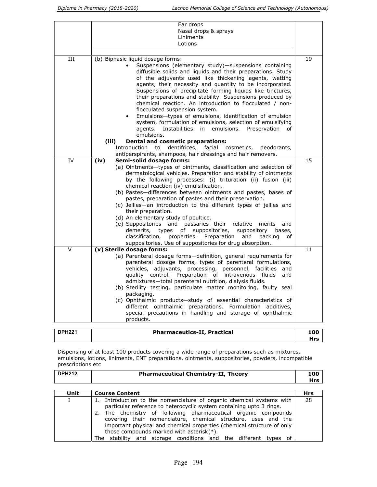|        | Ear drops                                                                                                                        |    |
|--------|----------------------------------------------------------------------------------------------------------------------------------|----|
|        | Nasal drops & sprays                                                                                                             |    |
|        | Liniments                                                                                                                        |    |
|        | Lotions                                                                                                                          |    |
|        |                                                                                                                                  |    |
| Ш      | (b) Biphasic liquid dosage forms:                                                                                                | 19 |
|        | Suspensions (elementary study)-suspensions containing                                                                            |    |
|        | diffusible solids and liquids and their preparations. Study                                                                      |    |
|        | of the adjuvants used like thickening agents, wetting<br>agents, their necessity and quantity to be incorporated.                |    |
|        | Suspensions of precipitate forming liquids like tinctures,                                                                       |    |
|        | their preparations and stability. Suspensions produced by                                                                        |    |
|        | chemical reaction. An introduction to flocculated / non-                                                                         |    |
|        | flocculated suspension system.                                                                                                   |    |
|        | Emulsions-types of emulsions, identification of emulsion                                                                         |    |
|        | system, formulation of emulsions, selection of emulsifying                                                                       |    |
|        | agents. Instabilities in emulsions. Preservation<br>of                                                                           |    |
|        | emulsions.                                                                                                                       |    |
|        | <b>Dental and cosmetic preparations:</b><br>(iii)                                                                                |    |
|        | dentifrices,<br>facial cosmetics,<br>Introduction to<br>deodorants,                                                              |    |
|        | antiperspirants, shampoos, hair dressings and hair removers.                                                                     |    |
| IV     | (iv)<br>Semi-solid dosage forms:                                                                                                 | 15 |
|        | (a) Ointments-types of ointments, classification and selection of                                                                |    |
|        | dermatological vehicles. Preparation and stability of ointments<br>by the following processes: (i) trituration (ii) fusion (iii) |    |
|        | chemical reaction (iv) emulsification.                                                                                           |    |
|        | (b) Pastes-differences between ointments and pastes, bases of                                                                    |    |
|        | pastes, preparation of pastes and their preservation.                                                                            |    |
|        | (c) Jellies—an introduction to the different types of jellies and                                                                |    |
|        | their preparation.                                                                                                               |    |
|        | (d) An elementary study of poultice.                                                                                             |    |
|        | (e) Suppositories and passaries—their relative<br>merits<br>and                                                                  |    |
|        | demerits,<br>suppositories,<br>suppository<br>types<br>of<br>bases,                                                              |    |
|        | classification, properties.<br>Preparation<br>and<br>packing<br>of                                                               |    |
|        | suppositories. Use of suppositories for drug absorption.                                                                         |    |
| $\vee$ | (v) Sterile dosage forms:<br>(a) Parenteral dosage forms-definition, general requirements for                                    | 11 |
|        | parenteral dosage forms, types of parenteral formulations,                                                                       |    |
|        | vehicles, adjuvants, processing, personnel, facilities<br>and                                                                    |    |
|        | quality control. Preparation of intravenous fluids<br>and                                                                        |    |
|        | admixtures-total parenteral nutrition, dialysis fluids.                                                                          |    |
|        | (b) Sterility testing, particulate matter monitoring, faulty seal                                                                |    |
|        | packaging.                                                                                                                       |    |
|        | (c) Ophthalmic products-study of essential characteristics of                                                                    |    |
|        | different ophthalmic preparations. Formulation additives,                                                                        |    |
|        | special precautions in handling and storage of ophthalmic                                                                        |    |
|        | products.                                                                                                                        |    |
|        |                                                                                                                                  |    |

| <b>DPH221</b> | <b>Pharmaceutics-II, Practical</b> | 100 |
|---------------|------------------------------------|-----|
|               |                                    | Hrs |

Dispensing of at least 100 products covering a wide range of preparations such as mixtures, emulsions, lotions, liniments, ENT preparations, ointments, suppositories, powders, incompatible prescriptions etc

| <b>DPH212</b> | <b>Pharmaceutical Chemistry-II, Theory</b> | 100<br>Hrs |
|---------------|--------------------------------------------|------------|
|               |                                            |            |

| Unit | <b>Course Content</b>                                                                                                                                                                                                                                                                                                                                                                                                                                                        | <b>Hrs</b> |
|------|------------------------------------------------------------------------------------------------------------------------------------------------------------------------------------------------------------------------------------------------------------------------------------------------------------------------------------------------------------------------------------------------------------------------------------------------------------------------------|------------|
|      | 1. Introduction to the nomenclature of organic chemical systems with<br>particular reference to heterocyclic system containing upto 3 rings.<br>2. The chemistry of following pharmaceutical organic compounds<br>covering their nomenclature, chemical structure, uses and the<br>important physical and chemical properties (chemical structure of only<br>those compounds marked with asterisk $(*)$ .<br>The stability and storage conditions and the different types of | 28         |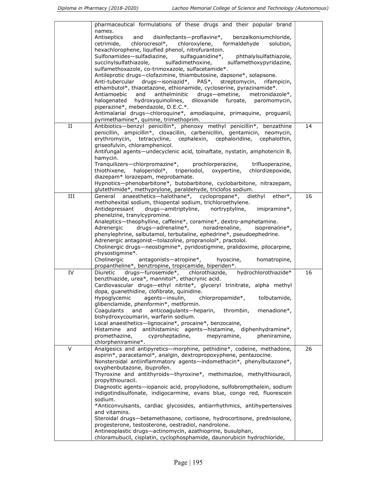|             | pharmaceutical formulations of these drugs and their popular brand<br>names.                                                                        |    |
|-------------|-----------------------------------------------------------------------------------------------------------------------------------------------------|----|
|             | disinfectants-proflavine*,<br>Antiseptics<br>and<br>benzalkoniumchloride,                                                                           |    |
|             | chlorocresol*,<br>formaldehyde<br>cetrimide,<br>chloroxylene,<br>solution,                                                                          |    |
|             | hexachlorophene, liquified phenol, nitrofurantoin.                                                                                                  |    |
|             | Sulfonamides-sulfadiazine,<br>sulfaguanidine*,<br>phthalylsulfathiazole,<br>sulfadimethoxine,<br>sulfamethoxypyridazine,                            |    |
|             | succinylsulfathiazole,<br>sulfamethoxazole, co-trimoxazole, sulfacetamide*.                                                                         |    |
|             | Antileprotic drugs-clofazimine, thiambutosine, dapsone*, solapsone.                                                                                 |    |
|             | Anti-tubercular drugs-isoniazid*, PAS*, streptomycin,<br>rifampicin,                                                                                |    |
|             | ethambutol*, thiacetazone, ethionamide, cycloserine, pyrazinamide*.                                                                                 |    |
|             | Antiamoebic<br>and<br>anthelminitic<br>drugs-emetine, metronidazole*,<br>hydroxyquinolines,<br>diloxanide furoate, paromomycin,                     |    |
|             | halogenated<br>piperazine*, mebendazole, D.E.C.*.                                                                                                   |    |
|             | Antimalarial drugs-chloroquine*, amodiaquine, primaquine, proguanil,                                                                                |    |
|             | pyrimethamine*, quinine, trimethoprim.                                                                                                              |    |
| $_{\rm II}$ | Antibiotics-benzyl penicillin*, phenoxy methyl penicillin*, benzathine                                                                              | 14 |
|             | penicillin, ampicillin*, cloxacillin, carbenicillin, gentamicin, neomycin,                                                                          |    |
|             | erythromycin, tetracycline, cephalexin, cephaloridine, cephalothin,<br>griseofulvin, chloramphenicol.                                               |    |
|             | Antifungal agents-undecyclenic acid, tolnaftate, nystatin, amphotericin B,                                                                          |    |
|             | hamycin.                                                                                                                                            |    |
|             | Tranquilizers-chlorpromazine*, prochlorperazine,<br>trifluoperazine,                                                                                |    |
|             | haloperidol*, triperiodol, oxypertine,<br>chlordizepoxide,<br>thiothixene,                                                                          |    |
|             | diazepam* lorazepam, meprobamate.<br>Hypnotics-phenobarbitone*, butobarbitone, cyclobarbitone, nitrazepam,                                          |    |
|             | glutethimide*, methyprylone, paraldehyde, triclofos sodium.                                                                                         |    |
| III         | anaesthetics-halothane*, cyclopropane*, diethyl<br>General<br>$ether^*$ .                                                                           | 16 |
|             | methohexital sodium, thiopental sodium, trichloroethylene.                                                                                          |    |
|             | drugs-amitriptyline, nortryptyline,<br>imipramine*,<br>Antidepressant<br>phenelzine, tranylcypromine.                                               |    |
|             | Analeptics-theophylline, caffeine*, coramine*, dextro-amphetamine.                                                                                  |    |
|             | drugs-adrenaline*, noradrenaline,<br>Adrenergic<br>isoprenaline*,                                                                                   |    |
|             | phenylephrine, salbutamol, terbutaline, ephedrine*, pseudoephedrine.                                                                                |    |
|             | Adrenergic antagonist-tolazoline, propranolol*, practolol.                                                                                          |    |
|             | Cholinergic drugs-neostigmine*, pyridostigmine, pralidoxime, pilocarpine,<br>physostigmine*.                                                        |    |
|             | Cholinergic<br>antagonists-atropine*,<br>homatropine,<br>hyoscine,                                                                                  |    |
|             | propantheline*, benztropine, tropicamide, biperiden*.                                                                                               |    |
| IV          | Diuretic drugs-furosemide*, chlorothiazide,<br>hydrochlorothiazide*                                                                                 | 16 |
|             | benzthiazide, urea*, mannitol*, ethacrynic acid.                                                                                                    |    |
|             | Cardiovascular drugs-ethyl nitrite*, glyceryl trinitrate, alpha methyl<br>dopa, quanethidine, clofibrate, quinidine.                                |    |
|             | Hypoglycemic<br>agents-insulin,<br>chlorpropamide*,<br>tolbutamide,                                                                                 |    |
|             | glibenclamide, phenformin*, metformin.                                                                                                              |    |
|             | and<br>anticoagulants-heparin,<br>menadione*,<br>Coaqulants<br>thrombin,                                                                            |    |
|             | bishydroxycoumarin, warfarin sodium.<br>Local anaesthetics-lignocaine*, procaine*, benzocaine,                                                      |    |
|             | antihistaminic agents-histamine, diphenhydramine*,<br>Histamine and                                                                                 |    |
|             | promethazine,<br>cyproheptadine,<br>mepyramine,<br>pheniramine,                                                                                     |    |
|             | chlorpheniramine*.                                                                                                                                  |    |
| V           | Analgesics and antipyretics-morphine, pethidine*, codeine, methadone,<br>aspirin*, paracetamol*, analgin, dextropropoxyphene, pentazocine.          | 26 |
|             | Nonsteroidal antiinflammatory agents-indomethacin*, phenylbutazone*,                                                                                |    |
|             | oxyphenbutazone, ibuprofen.                                                                                                                         |    |
|             | Thyroxine and antithyroids-thyroxine*, methimazloe, methylthiouracil,                                                                               |    |
|             | propylthiouracil.                                                                                                                                   |    |
|             | Diagnostic agents—iopanoic acid, propyliodone, sulfobrompthalein, sodium<br>indigotindisulfonate, indigocarmine, evans blue, congo red, fluorescein |    |
|             | sodium.                                                                                                                                             |    |
|             | *Anticonvulsants, cardiac glycosides, antiarrhythmics, antihypertensives                                                                            |    |
|             | and vitamins.                                                                                                                                       |    |
|             | Steroidal drugs-betamethasone, cortisone, hydrocortisone, prednisolone,                                                                             |    |
|             | progesterone, testosterone, oestradiol, nandrolone.<br>Antineoplastic drugs-actinomycin, azathioprine, busulphan,                                   |    |
|             | chloramubucil, cisplatin, cyclophosphamide, daunorubicin hydrochloride,                                                                             |    |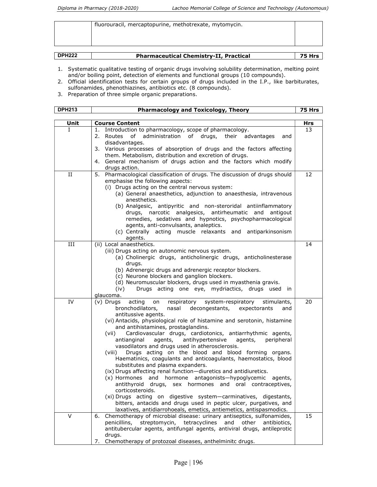|               | fluorouracil, mercaptopurine, methotrexate, mytomycin. |               |
|---------------|--------------------------------------------------------|---------------|
| <b>DPH222</b> | <b>Pharmaceutical Chemistry-II, Practical</b>          | <b>75 Hrs</b> |

- 1. Systematic qualitative testing of organic drugs involving solubility determination, melting point and/or boiling point, detection of elements and functional groups (10 compounds).
- 2. Official identification tests for certain groups of drugs included in the I.P., like barbiturates, sulfonamides, phenothiazines, antibiotics etc. (8 compounds).
- 3. Preparation of three simple organic preparations.

| <b>DPH213</b> | <b>Pharmacology and Toxicology, Theory</b>                                                                                                                                                                                                                                                                                                                                                                                                                                                                                                                                                                                                                                                                                                                                                                                                                                                                                                                                                                                                                                                            | 75 Hrs |
|---------------|-------------------------------------------------------------------------------------------------------------------------------------------------------------------------------------------------------------------------------------------------------------------------------------------------------------------------------------------------------------------------------------------------------------------------------------------------------------------------------------------------------------------------------------------------------------------------------------------------------------------------------------------------------------------------------------------------------------------------------------------------------------------------------------------------------------------------------------------------------------------------------------------------------------------------------------------------------------------------------------------------------------------------------------------------------------------------------------------------------|--------|
|               |                                                                                                                                                                                                                                                                                                                                                                                                                                                                                                                                                                                                                                                                                                                                                                                                                                                                                                                                                                                                                                                                                                       |        |
| Unit          | <b>Course Content</b>                                                                                                                                                                                                                                                                                                                                                                                                                                                                                                                                                                                                                                                                                                                                                                                                                                                                                                                                                                                                                                                                                 | Hrs    |
| L             | Introduction to pharmacology, scope of pharmacology.<br>1.<br>of<br>administration of drugs,<br>their advantages<br>2.<br>Routes<br>and<br>disadvantages.<br>3. Various processes of absorption of drugs and the factors affecting<br>them. Metabolism, distribution and excretion of drugs.<br>4. General mechanism of drugs action and the factors which modify<br>drugs action.                                                                                                                                                                                                                                                                                                                                                                                                                                                                                                                                                                                                                                                                                                                    | 13     |
| П             | 5. Pharmacological classification of drugs. The discussion of drugs should<br>emphasise the following aspects:<br>(i) Drugs acting on the central nervous system:<br>(a) General anaesthetics, adjunction to anaesthesia, intravenous<br>anesthetics.<br>(b) Analgesic, antipyritic and non-steroridal antiinflammatory<br>drugs, narcotic analgesics, antirheumatic and antigout<br>remedies, sedatives and hypnotics, psychopharmacological<br>agents, anti-convulsants, analeptics.<br>(c) Centrally acting muscle relaxants and antiparkinsonism<br>agents.                                                                                                                                                                                                                                                                                                                                                                                                                                                                                                                                       | 12     |
| III           | (ii) Local anaesthetics.<br>(iii) Drugs acting on autonomic nervous system.<br>(a) Cholinergic drugs, anticholinergic drugs, anticholinesterase<br>drugs.<br>(b) Adrenergic drugs and adrenergic receptor blockers.<br>(c) Neurone blockers and ganglion blockers.<br>(d) Neuromuscular blockers, drugs used in myasthenia gravis.<br>Drugs acting one eye, mydriactics, drugs used in<br>(iv)<br>glaucoma.                                                                                                                                                                                                                                                                                                                                                                                                                                                                                                                                                                                                                                                                                           | 14     |
| IV            | (v) Drugs<br>acting<br>system-respiratory<br>respiratory<br>stimulants,<br>on<br>bronchodilators,<br>nasal<br>decongestants, expectorants<br>and<br>antitussive agents.<br>(vi) Antacids, physiological role of histamine and serotonin, histamine<br>and antihistamines, prostaglandins.<br>Cardiovascular drugs, cardiotonics, antiarrhythmic agents,<br>(vii)<br>antianginal<br>antihypertensive<br>peripheral<br>agents,<br>agents,<br>vasodilators and drugs used in atherosclerosis.<br>Drugs acting on the blood and blood forming organs.<br>(viii)<br>Haematinics, coagulants and anticoagulants, haemostatics, blood<br>substitutes and plasma expanders.<br>(ix) Drugs affecting renal function-diuretics and antidiuretics.<br>(x) Hormones and hormone antagonists-hypoglycemic<br>agents,<br>antithyroid drugs, sex hormones and oral contraceptives,<br>corticosteroids.<br>(xi) Drugs acting on digestive system-carminatives, digestants,<br>bitters, antacids and drugs used in peptic ulcer, purgatives, and<br>laxatives, antidiarrohoeals, emetics, antiemetics, antispasmodics. | 20     |
| $\vee$        | Chemotherapy of microbial disease: urinary antiseptics, sulfonamides,<br>6.<br>streptomycin, tetracyclines and other<br>penicillins,<br>antibiotics,<br>antitubercular agents, antifungal agents, antiviral drugs, antileprotic<br>drugs.<br>Chemotherapy of protozoal diseases, anthelminitc drugs.<br>7.                                                                                                                                                                                                                                                                                                                                                                                                                                                                                                                                                                                                                                                                                                                                                                                            | 15     |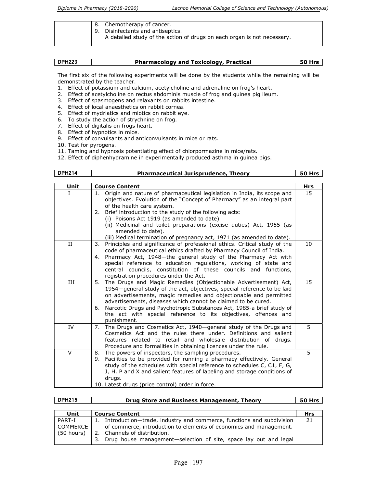| 8. Chemotherapy of cancer.<br>9. Disinfectants and antiseptics.<br>A detailed study of the action of drugs on each organ is not necessary. |  |
|--------------------------------------------------------------------------------------------------------------------------------------------|--|
|--------------------------------------------------------------------------------------------------------------------------------------------|--|

| <b>DPH223</b> | <b>Pharmacology and Toxicology, Practical</b> | $^{\prime}$ 50 Hrs $\scriptstyle\rm I$ |
|---------------|-----------------------------------------------|----------------------------------------|

The first six of the following experiments will be done by the students while the remaining will be demonstrated by the teacher.

- 1. Effect of potassium and calcium, acetylcholine and adrenaline on frog's heart.
- 2. Effect of acetylcholine on rectus abdominis muscle of frog and guinea pig ileum.
- 3. Effect of spasmogens and relaxants on rabbits intestine.
- 4. Effect of local anaesthetics on rabbit cornea.
- 5. Effect of mydriatics and miotics on rabbit eye.
- 6. To study the action of strychnine on frog.
- 7. Effect of digitalis on frogs heart.
- 8. Effect of hypnotics in mice.
- 9. Effect of convulsants and anticonvulsants in mice or rats.
- 10. Test for pyrogens.
- 11. Taming and hypnosis potentiating effect of chlorpormazine in mice/rats.
- 12. Effect of diphenhydramine in experimentally produced asthma in guinea pigs.

| <b>DPH214</b> | <b>Pharmaceutical Jurisprudence, Theory</b>                                                                                                                                                                                                                                                                                                                                                                                                      | <b>50 Hrs</b> |
|---------------|--------------------------------------------------------------------------------------------------------------------------------------------------------------------------------------------------------------------------------------------------------------------------------------------------------------------------------------------------------------------------------------------------------------------------------------------------|---------------|
|               |                                                                                                                                                                                                                                                                                                                                                                                                                                                  |               |
| Unit          | <b>Course Content</b>                                                                                                                                                                                                                                                                                                                                                                                                                            | Hrs           |
| L             | 1. Origin and nature of pharmaceutical legislation in India, its scope and<br>objectives. Evolution of the "Concept of Pharmacy" as an integral part<br>of the health care system.<br>2. Brief introduction to the study of the following acts:<br>(i) Poisons Act 1919 (as amended to date)                                                                                                                                                     | 15            |
|               | (ii) Medicinal and toilet preparations (excise duties) Act, 1955 (as<br>amended to date).<br>(iii) Medical termination of pregnancy act, 1971 (as amended to date).                                                                                                                                                                                                                                                                              |               |
| II            | 3. Principles and significance of professional ethics. Critical study of the<br>code of pharmaceutical ethics drafted by Pharmacy Council of India.<br>4. Pharmacy Act, 1948-the general study of the Pharmacy Act with<br>special reference to education regulations, working of state and<br>central councils, constitution of these councils and functions,<br>registration procedures under the Act.                                         | 10            |
| Ш             | 5. The Drugs and Magic Remedies (Objectionable Advertisement) Act,<br>1954-general study of the act, objectives, special reference to be laid<br>on advertisements, magic remedies and objectionable and permitted<br>advertisements, diseases which cannot be claimed to be cured.<br>6. Narcotic Drugs and Psychotropic Substances Act, 1985-a brief study of<br>the act with special reference to its objectives, offences and<br>punishment. | 15            |
| IV            | 7. The Drugs and Cosmetics Act, 1940-general study of the Drugs and<br>Cosmetics Act and the rules there under. Definitions and salient<br>features related to retail and wholesale distribution of drugs.<br>Procedure and formalities in obtaining licences under the rule.                                                                                                                                                                    | 5             |
| $\vee$        | 8. The powers of inspectors, the sampling procedures.<br>9. Facilities to be provided for running a pharmacy effectively. General<br>study of the schedules with special reference to schedules C, C1, F, G,<br>J, H, P and X and salient features of labeling and storage conditions of<br>drugs.<br>10. Latest drugs (price control) order in force.                                                                                           | 5             |

| <b>DPH215</b>                    | Drug Store and Business Management, Theory                                                                                                                                                                                                                    | 50 Hrs |
|----------------------------------|---------------------------------------------------------------------------------------------------------------------------------------------------------------------------------------------------------------------------------------------------------------|--------|
| Unit                             | <b>Course Content</b>                                                                                                                                                                                                                                         | Hrs    |
| PART-I<br>COMMERCE<br>(50 hours) | Introduction-trade, industry and commerce, functions and subdivision<br>1.<br>of commerce, introduction to elements of economics and management.<br>Channels of distribution.<br>2.<br>Drug house management-selection of site, space lay out and legal<br>З. | 21     |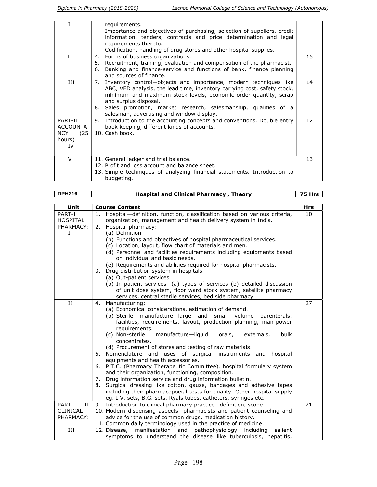|                                                            | requirements.<br>Importance and objectives of purchasing, selection of suppliers, credit<br>information, tenders, contracts and price determination and legal<br>requirements thereto.<br>Codification, handling of drug stores and other hospital supplies.                                                                                                      |    |
|------------------------------------------------------------|-------------------------------------------------------------------------------------------------------------------------------------------------------------------------------------------------------------------------------------------------------------------------------------------------------------------------------------------------------------------|----|
| П                                                          | Forms of business organizations.<br>4.<br>5. Recruitment, training, evaluation and compensation of the pharmacist.<br>Banking and finance-service and functions of bank, finance planning<br>6.<br>and sources of finance.                                                                                                                                        | 15 |
| Ш                                                          | Inventory control—objects and importance, modern techniques like<br>7.<br>ABC, VED analysis, the lead time, inventory carrying cost, safety stock,<br>minimum and maximum stock levels, economic order quantity, scrap<br>and surplus disposal.<br>8. Sales promotion, market research, salesmanship, qualities of a<br>salesman, advertising and window display. | 14 |
| PART-II<br>ACCOUNTA<br><b>NCY</b><br>(25)<br>hours)<br>TV. | Introduction to the accounting concepts and conventions. Double entry<br>9.<br>book keeping, different kinds of accounts.<br>10. Cash book.                                                                                                                                                                                                                       | 12 |
| $\vee$                                                     | 11. General ledger and trial balance.<br>12. Profit and loss account and balance sheet.<br>13. Simple techniques of analyzing financial statements. Introduction to<br>budgeting.                                                                                                                                                                                 | 13 |

| <b>DPH216</b>                                                     | <b>Hospital and Clinical Pharmacy, Theory</b>                                                                                                                                                                                                                                                                                                                                                                                                                                                                                                                                                                                                                                                                                                                                                                                                                                                                        | 75 Hrs     |
|-------------------------------------------------------------------|----------------------------------------------------------------------------------------------------------------------------------------------------------------------------------------------------------------------------------------------------------------------------------------------------------------------------------------------------------------------------------------------------------------------------------------------------------------------------------------------------------------------------------------------------------------------------------------------------------------------------------------------------------------------------------------------------------------------------------------------------------------------------------------------------------------------------------------------------------------------------------------------------------------------|------------|
|                                                                   |                                                                                                                                                                                                                                                                                                                                                                                                                                                                                                                                                                                                                                                                                                                                                                                                                                                                                                                      |            |
| Unit                                                              | <b>Course Content</b>                                                                                                                                                                                                                                                                                                                                                                                                                                                                                                                                                                                                                                                                                                                                                                                                                                                                                                | <b>Hrs</b> |
| PART-I<br><b>HOSPITAL</b><br>PHARMACY:<br>I                       | Hospital-definition, function, classification based on various criteria,<br>1.<br>organization, management and health delivery system in India.<br>Hospital pharmacy:<br>2.<br>(a) Definition                                                                                                                                                                                                                                                                                                                                                                                                                                                                                                                                                                                                                                                                                                                        | 10         |
|                                                                   | (b) Functions and objectives of hospital pharmaceutical services.<br>(c) Location, layout, flow chart of materials and men.<br>(d) Personnel and facilities requirements including equipments based<br>on individual and basic needs.<br>(e) Requirements and abilities required for hospital pharmacists.<br>Drug distribution system in hospitals.<br>3.                                                                                                                                                                                                                                                                                                                                                                                                                                                                                                                                                           |            |
|                                                                   | (a) Out-patient services<br>(b) In-patient services-(a) types of services (b) detailed discussion<br>of unit dose system, floor ward stock system, satellite pharmacy<br>services, central sterile services, bed side pharmacy.                                                                                                                                                                                                                                                                                                                                                                                                                                                                                                                                                                                                                                                                                      |            |
| II                                                                | 4. Manufacturing:<br>(a) Economical considerations, estimation of demand.<br>(b) Sterile manufacture-large and small volume<br>parenterals,<br>facilities, requirements, layout, production planning, man-power<br>requirements.<br>(c) Non-sterile<br>manufacture-liquid<br>orals,<br>externals,<br>bulk<br>concentrates.<br>(d) Procurement of stores and testing of raw materials.<br>5. Nomenclature and uses of surgical instruments and hospital<br>equipments and health accessories.<br>6. P.T.C. (Pharmacy Therapeutic Committee), hospital formulary system<br>and their organization, functioning, composition.<br>Drug information service and drug information bulletin.<br>7.<br>Surgical dressing like cotton, gauze, bandages and adhesive tapes<br>8.<br>including their pharmacopoeial tests for quality. Other hospital supply<br>eg. I.V. sets, B.G. sets, Ryals tubes, catheters, syringes etc. | 27         |
| <b>PART</b><br>$_{\rm II}$<br><b>CLINICAL</b><br>PHARMACY:<br>III | 9. Introduction to clinical pharmacy practice-definition, scope.<br>10. Modern dispensing aspects-pharmacists and patient counseling and<br>advice for the use of common drugs, medication history.<br>11. Common daily terminology used in the practice of medicine.<br>manifestation and pathophysiology including<br>12. Disease,<br>salient<br>symptoms to understand the disease like tuberculosis, hepatitis,                                                                                                                                                                                                                                                                                                                                                                                                                                                                                                  | 21         |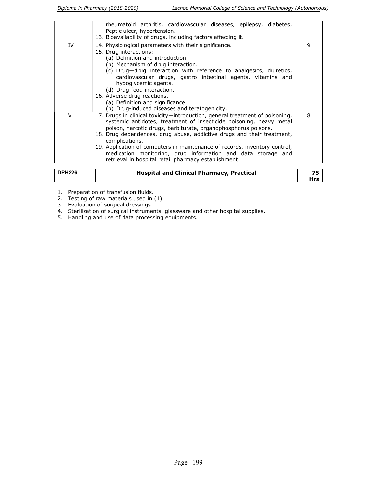|               | rheumatoid arthritis, cardiovascular diseases, epilepsy, diabetes,<br>Peptic ulcer, hypertension.<br>13. Bioavailability of drugs, including factors affecting it.                                                                                                                                                                                                                                                                                                                                                      |     |
|---------------|-------------------------------------------------------------------------------------------------------------------------------------------------------------------------------------------------------------------------------------------------------------------------------------------------------------------------------------------------------------------------------------------------------------------------------------------------------------------------------------------------------------------------|-----|
| IV            | 14. Physiological parameters with their significance.<br>15. Drug interactions:<br>(a) Definition and introduction.<br>(b) Mechanism of drug interaction.<br>(c) Drug-drug interaction with reference to analgesics, diuretics,<br>cardiovascular drugs, gastro intestinal agents, vitamins and<br>hypoglycemic agents.<br>(d) Drug-food interaction.<br>16. Adverse drug reactions.<br>(a) Definition and significance.<br>(b) Drug-induced diseases and teratogenicity.                                               | 9   |
| $\vee$        | 17. Drugs in clinical toxicity—introduction, general treatment of poisoning,<br>systemic antidotes, treatment of insecticide poisoning, heavy metal<br>poison, narcotic drugs, barbiturate, organophosphorus poisons.<br>18. Drug dependences, drug abuse, addictive drugs and their treatment,<br>complications.<br>19. Application of computers in maintenance of records, inventory control,<br>medication monitoring, drug information and data storage and<br>retrieval in hospital retail pharmacy establishment. | 8   |
| <b>DPH226</b> | <b>Hospital and Clinical Pharmacy, Practical</b>                                                                                                                                                                                                                                                                                                                                                                                                                                                                        | 75  |
|               |                                                                                                                                                                                                                                                                                                                                                                                                                                                                                                                         | Hrs |

- 1. Preparation of transfusion fluids.
- 2. Testing of raw materials used in (1)
- 3. Evaluation of surgical dressings.
- 4. Sterilization of surgical instruments, glassware and other hospital supplies.
- 5. Handling and use of data processing equipments.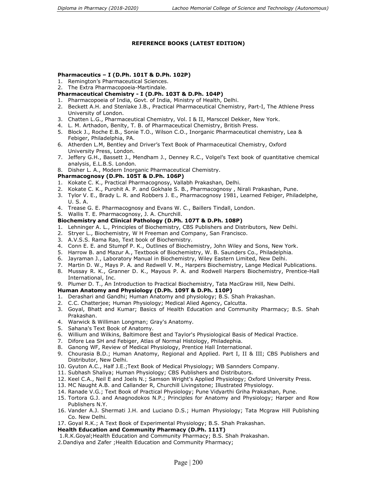#### REFERENCE BOOKS (LATEST EDITION)

#### Pharmaceutics – I (D.Ph. 101T & D.Ph. 102P)

- 1. Remington's Pharmaceutical Sciences.
- 2. The Extra Pharmacopoeia-Martindale.

#### Pharmaceutical Chemistry - I (D.Ph. 103T & D.Ph. 104P)

- 1. Pharmacopoeia of India, Govt. of India, Ministry of Health, Delhi.
- 2. Beckett A.H. and Stenlake J.B., Practical Pharmaceutical Chemistry, Part-I, The Athlene Press University of London.
- 3. Chatten L.G., Pharmaceutical Chemistry, Vol. I & II, Marsccel Dekker, New York.
- 4. L. M. Arthadon, Benlty, T. B. of Pharmaceutical Chemistry, British Press.
- 5. Block J., Roche E.B., Sonie T.O., Wilson C.O., Inorganic Pharmaceutical chemistry, Lea & Febiger, Philadelphia, PA.
- 6. Atherden L.M, Bentley and Driver's Text Book of Pharmaceutical Chemistry, Oxford University Press, London.
- 7. Jeffery G.H., Bassett J., Mendham J., Denney R.C., Volgel's Text book of quantitative chemical analysis, E.L.B.S. London.
- 8. Disher L. A., Modern Inorganic Pharmaceutical Chemistry.

#### Pharmacognosy (D.Ph. 105T & D.Ph. 106P)

- 1. Kokate C. K., Practical Pharmacognosy, Vallabh Prakashan, Delhi.
- 2. Kokate C. K., Purohit A. P. and Gokhale S. B., Pharmacognosy , Nirali Prakashan, Pune.
- 3. Tylor V. E., Brady L. R. and Robbers J. E., Pharmacognosy 1981, Learned Febiger, Philadelphe, U. S. A.
- 4. Trease G. E. Pharmacognosy and Evans W. C., Baillers Tindall, London.
- 5. Wallis T. E. Pharmacognosy, J. A. Churchill.

#### Biochemistry and Clinical Pathology (D.Ph. 107T & D.Ph. 108P)

- 1. Lehninger A. L., Principles of Biochemistry, CBS Publishers and Distributors, New Delhi.
- 2. Stryer L., Biochemistry, W H Freeman and Company, San Francisco.
- 3. A.V.S.S. Rama Rao, Text book of Biochemistry.
- 4. Conn E. E. and Stumpf P. K., Outlines of Biochemistry, John Wiley and Sons, New York.
- 5. Harrow B. and Mazur A., Textbook of Biochemistry, W. B. Saunders Co., Philadelphia.
- 6. Jayraman J., Laboratory Manual in Biochemistry, Wiley Eastern Limited, New Delhi.
- 7. Martin D. W., Mays P. A. and Redwell V. M., Harpers Biochemistry, Lange Medical Publications.
- 8. Mussay R. K., Granner D. K., Mayous P. A. and Rodwell Harpers Biochemistry, Prentice-Hall International, Inc.
- 9. Plumer D. T., An Introduction to Practical Biochemistry, Tata MacGraw Hill, New Delhi.

#### Human Anatomy and Physiology (D.Ph. 109T & D.Ph. 110P)

- 1. Derashari and Gandhi; Human Anatomy and physiology; B.S. Shah Prakashan.
- 2. C.C. Chatterjee; Human Physiology; Medical Alied Agency, Calcutta.
- 3. Goyal, Bhatt and Kumar; Basics of Health Education and Community Pharmacy; B.S. Shah Prakashan.
- 4. Warwick & Williman Longman; Gray's Anatomy.
- 5. Sahana's Text Book of Anatomy.
- 6. Willium and Wilkins, Baltimore Best and Taylor's Physiological Basis of Medical Practice.
- 7. Difore Lea SH and Febiger, Atlas of Normal Histology, Philadephia.
- 8. Ganong WF, Review of Medical Physiology, Prentice Hall International.
- 9. Chourasia B.D.; Human Anatomy, Regional and Applied. Part I, II & III; CBS Publishers and Distributor, New Delhi.
- 10. Gyuton A.C., Half J.E.;Text Book of Medical Physiology; WB Sannders Company.
- 11. Subhash Shaliya; Human Physiology; CBS Publishers and Distributors.
- 12. Keel C.A., Neil E and Joels N.; Samson Wright's Applied Physiology; Oxford University Press.
- 13. MC Naught A.B. and Callander R, Churchill Livingstone; Illustrated Physiology.
- 14. Ranade V.G.; Text Book of Practical Physiology; Pune Vidyarthi Griha Prakashan, Pune.
- 15. Tortora G.J. and Anagnodokos N.P.; Principles for Anatomy and Physiology; Harper and Row Publishers N.Y.
- 16. Vander A.J. Shermati J.H. and Luciano D.S.; Human Physiology; Tata Mcgraw Hill Publishing Co. New Delhi.
- 17. Goyal R.K.; A Text Book of Experimental Physiology; B.S. Shah Prakashan.

#### Health Education and Community Pharmacy (D.Ph. 111T)

- 1.R.K.Goyal;Health Education and Community Pharmacy; B.S. Shah Prakashan.
- 2.Dandiya and Zafer ;Health Education and Community Pharmacy;